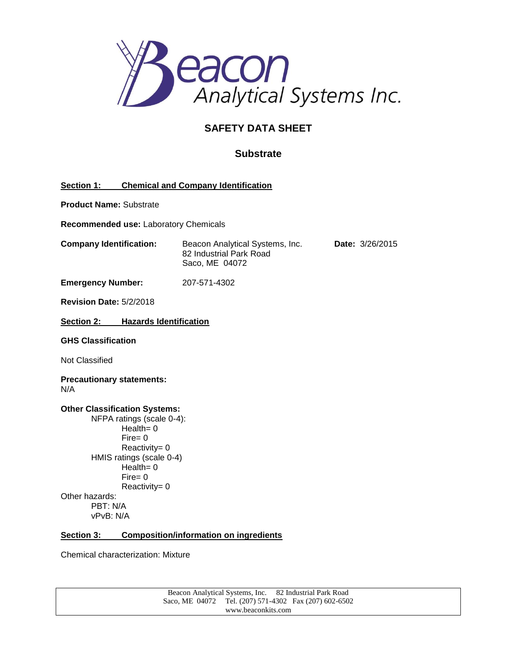

# **SAFETY DATA SHEET**

# **Substrate**

| <b>Section 1:</b> | <b>Chemical and Company Identification</b> |  |
|-------------------|--------------------------------------------|--|
|                   |                                            |  |

**Product Name:** Substrate

**Recommended use:** Laboratory Chemicals

**Company Identification:** Beacon Analytical Systems, Inc. **Date:** 3/26/2015 82 Industrial Park Road Saco, ME 04072

**Emergency Number:** 207-571-4302

**Revision Date:** 5/2/2018

**Section 2: Hazards Identification**

**GHS Classification**

Not Classified

**Precautionary statements:** N/A

**Other Classification Systems:** NFPA ratings (scale 0-4):

Health= 0 Fire= 0 Reactivity= 0 HMIS ratings (scale 0-4)  $Health = 0$ Fire= 0 Reactivity= 0 Other hazards: PBT: N/A vPvB: N/A

#### **Section 3: Composition/information on ingredients**

Chemical characterization: Mixture

Beacon Analytical Systems, Inc. 82 Industrial Park Road Saco, ME 04072 Tel. (207) 571-4302 Fax (207) 602-6502 www.beaconkits.com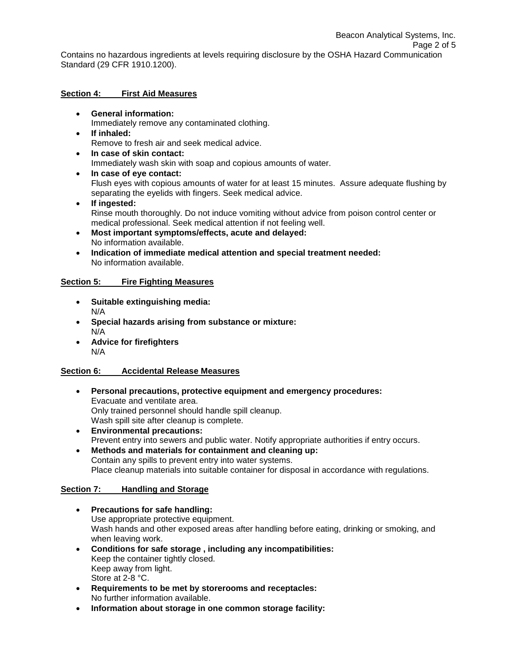#### **Section 4: First Aid Measures**

- **General information:** Immediately remove any contaminated clothing. **If inhaled:**
	- Remove to fresh air and seek medical advice.
- **In case of skin contact:** Immediately wash skin with soap and copious amounts of water.
- **In case of eye contact:** Flush eyes with copious amounts of water for at least 15 minutes. Assure adequate flushing by separating the eyelids with fingers. Seek medical advice.
- **If ingested:** Rinse mouth thoroughly. Do not induce vomiting without advice from poison control center or medical professional. Seek medical attention if not feeling well.
- **Most important symptoms/effects, acute and delayed:** No information available.
- **Indication of immediate medical attention and special treatment needed:** No information available.

# **Section 5: Fire Fighting Measures**

- **Suitable extinguishing media:** N/A
- **Special hazards arising from substance or mixture:** N/A
- **Advice for firefighters** N/A

#### **Section 6: Accidental Release Measures**

- **Personal precautions, protective equipment and emergency procedures:** Evacuate and ventilate area. Only trained personnel should handle spill cleanup. Wash spill site after cleanup is complete.
- **Environmental precautions:** Prevent entry into sewers and public water. Notify appropriate authorities if entry occurs.
- **Methods and materials for containment and cleaning up:** Contain any spills to prevent entry into water systems. Place cleanup materials into suitable container for disposal in accordance with regulations.

# **Section 7: Handling and Storage**

- **Precautions for safe handling:** Use appropriate protective equipment. Wash hands and other exposed areas after handling before eating, drinking or smoking, and when leaving work.
- **Conditions for safe storage , including any incompatibilities:** Keep the container tightly closed. Keep away from light. Store at 2-8 °C.
- **Requirements to be met by storerooms and receptacles:**  No further information available.
- **Information about storage in one common storage facility:**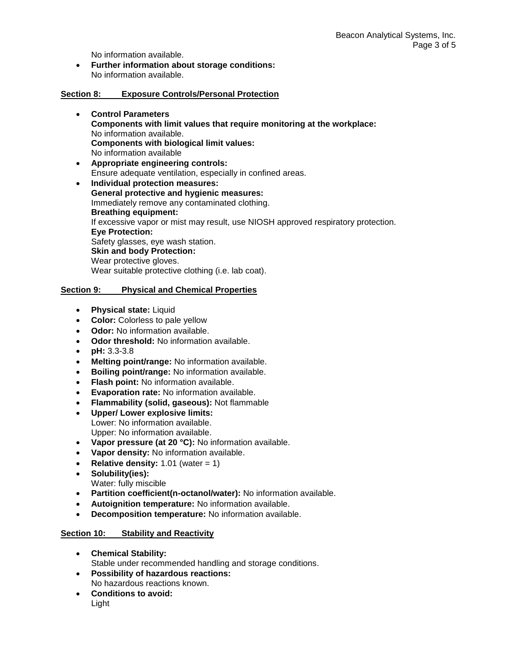No information available.

 **Further information about storage conditions:** No information available.

#### **Section 8: Exposure Controls/Personal Protection**

- **Control Parameters Components with limit values that require monitoring at the workplace:** No information available. **Components with biological limit values:** No information available
- **Appropriate engineering controls:**  Ensure adequate ventilation, especially in confined areas.
- **Individual protection measures: General protective and hygienic measures:** Immediately remove any contaminated clothing. **Breathing equipment:** If excessive vapor or mist may result, use NIOSH approved respiratory protection. **Eye Protection:** Safety glasses, eye wash station. **Skin and body Protection:** Wear protective gloves. Wear suitable protective clothing (i.e. lab coat).

### **Section 9: Physical and Chemical Properties**

- **Physical state:** Liquid
- **Color:** Colorless to pale yellow
- **Odor:** No information available.
- **Odor threshold:** No information available.
- **pH:** 3.3-3.8
- **Melting point/range:** No information available.
- **Boiling point/range:** No information available.
- **Flash point:** No information available.
- **Evaporation rate:** No information available.
- **Flammability (solid, gaseous):** Not flammable
- **Upper/ Lower explosive limits:** Lower: No information available. Upper: No information available.
- **Vapor pressure (at 20 °C):** No information available.
- **Vapor density:** No information available.
- **Relative density:**  $1.01$  (water =  $1$ )
- **Solubility(ies):**
- Water: fully miscible
- **Partition coefficient(n-octanol/water):** No information available.
- **Autoignition temperature:** No information available.
- **Decomposition temperature:** No information available.

# **Section 10: Stability and Reactivity**

- **Chemical Stability:** Stable under recommended handling and storage conditions.
- **Possibility of hazardous reactions:** No hazardous reactions known.
- **Conditions to avoid:** Light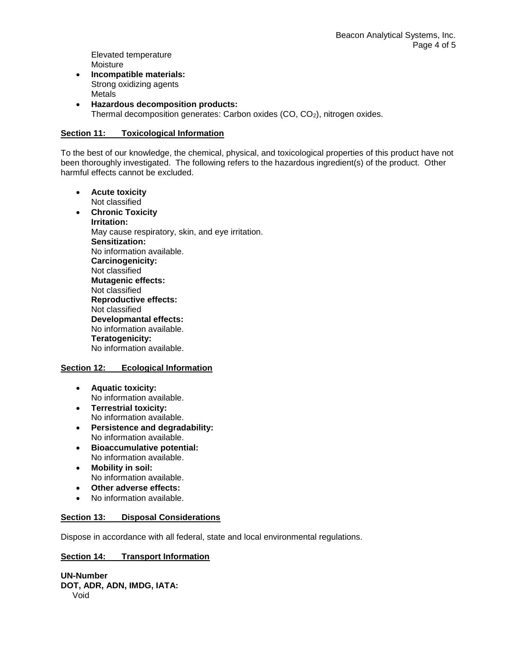Elevated temperature Moisture

- **Incompatible materials:** Strong oxidizing agents Metals
- **Hazardous decomposition products:** Thermal decomposition generates: Carbon oxides (CO, CO2), nitrogen oxides.

## **Section 11: Toxicological Information**

To the best of our knowledge, the chemical, physical, and toxicological properties of this product have not been thoroughly investigated. The following refers to the hazardous ingredient(s) of the product. Other harmful effects cannot be excluded.

- **Acute toxicity** Not classified
- **Chronic Toxicity Irritation:** May cause respiratory, skin, and eye irritation. **Sensitization:** No information available. **Carcinogenicity:** Not classified **Mutagenic effects:** Not classified **Reproductive effects:** Not classified **Developmantal effects:** No information available. **Teratogenicity:** No information available.

#### **Section 12: Ecological Information**

- **Aquatic toxicity:** No information available.
- **Terrestrial toxicity:** No information available.
- **Persistence and degradability:** No information available.
- **Bioaccumulative potential:** No information available.
- **Mobility in soil:** No information available.
- **Other adverse effects:**
- No information available.

#### **Section 13: Disposal Considerations**

Dispose in accordance with all federal, state and local environmental regulations.

#### **Section 14: Transport Information**

**UN-Number DOT, ADR, ADN, IMDG, IATA:** Void